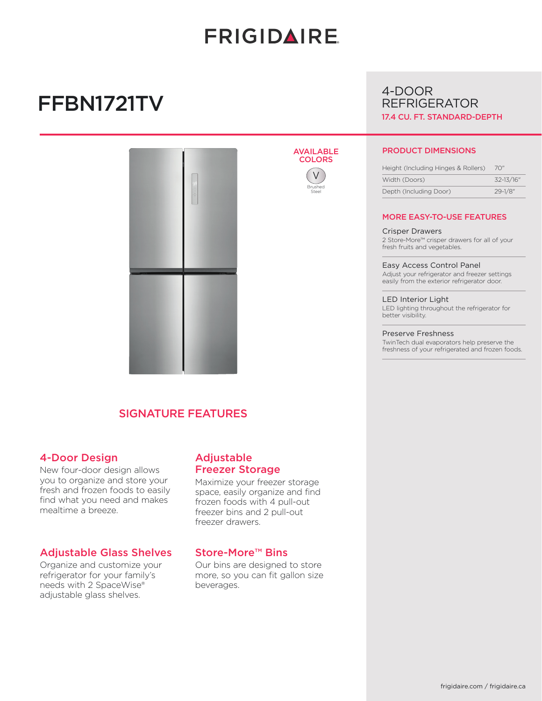# **FRIGIDAIRE**

AVAILABLE **COLORS** 

> V Brushed Steel

# FFBN1721TV



## SIGNATURE FEATURES

## 4-Door Design

New four-door design allows you to organize and store your fresh and frozen foods to easily find what you need and makes mealtime a breeze.

## Adjustable Glass Shelves

Organize and customize your refrigerator for your family's needs with 2 SpaceWise® adjustable glass shelves.

## Adjustable Freezer Storage

Maximize your freezer storage space, easily organize and find frozen foods with 4 pull-out freezer bins and 2 pull-out freezer drawers.

## Store-More™ Bins

Our bins are designed to store more, so you can fit gallon size beverages.

## 4-DOOR REFRIGERATOR 17.4 CU. FT. STANDARD-DEPTH

### PRODUCT DIMENSIONS

| Height (Including Hinges & Rollers) | 70″          |
|-------------------------------------|--------------|
| Width (Doors)                       | 32-13/16"    |
| Depth (Including Door)              | $29 - 1/8$ " |

### MORE EASY-TO-USE FEATURES

#### Crisper Drawers

2 Store-More™ crisper drawers for all of your fresh fruits and vegetables.

Easy Access Control Panel Adjust your refrigerator and freezer settings easily from the exterior refrigerator door.

LED Interior Light LED lighting throughout the refrigerator for better visibility.

#### Preserve Freshness

TwinTech dual evaporators help preserve the freshness of your refrigerated and frozen foods.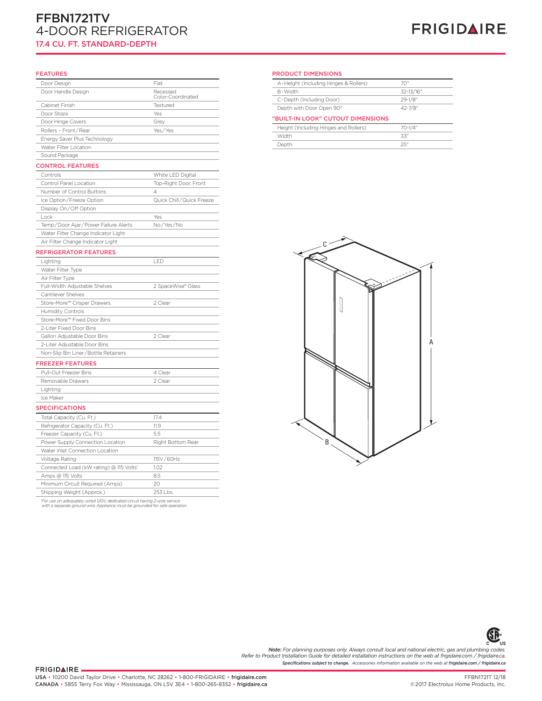# FFBN1721TV 4-DOOR REFRIGERATOR

## 17.4 CU. FT. STANDARD-DEPTH

# **FRIGIDAIRE**

#### FEATURES

| Door Design                             | Flat                     | A-Height (Includir |
|-----------------------------------------|--------------------------|--------------------|
| Door Handle Design                      | Recessed                 | B-Width            |
|                                         | Color-Coordinated        | C-Depth (Includin  |
| Cabinet Finish                          | Textured                 | Depth with Door (  |
| Door Stops                              | Yes                      | "BUILT-IN LOOK"    |
| Door Hinge Covers                       | Grey                     | Height (Including  |
| Rollers - Front/Rear                    | Yes/Yes                  | Width              |
| Energy Saver Plus Technology            |                          | Depth              |
| Water Filter Location                   |                          |                    |
| Sound Package                           |                          |                    |
| <b>CONTROL FEATURES</b>                 |                          |                    |
| Controls                                | White LED Digital        |                    |
| Control Panel Location                  | Top-Right Door, Front    |                    |
| Number of Control Buttons               | $\overline{4}$           |                    |
| Ice Option/Freeze Option                | Quick Chill/Quick Freeze |                    |
| Display On/Off Option                   |                          |                    |
| Lock                                    | Yes                      |                    |
| Temp/Door Ajar/Power Failure Alerts     | No/Yes/No                |                    |
| Water Filter Change Indicator Light     |                          |                    |
| Air Filter Change Indicator Light       |                          |                    |
| <b>REFRIGERATOR FEATURES</b>            |                          |                    |
| Lighting                                | LED                      |                    |
| Water Filter Type                       |                          |                    |
| Air Filter Type                         |                          |                    |
| Full-Width Adjustable Shelves           | 2 SpaceWise® Glass       |                    |
| Cantilever Shelves                      |                          |                    |
| Store-More™ Crisper Drawers             | 2 Clear                  |                    |
| Humidity Controls                       |                          |                    |
| Store-More™ Fixed Door Bins             |                          |                    |
| 2-Liter Fixed Door Bins                 |                          |                    |
| Gallon Adjustable Door Bins             | 2 Clear                  |                    |
| 2-Liter Adjustable Door Bins            |                          |                    |
| Non-Slip Bin Liner/Bottle Retainers     |                          |                    |
| <b>FREEZER FEATURES</b>                 |                          |                    |
| Pull-Out Freezer Bins                   | 4 Clear                  |                    |
| Removable Drawers                       | 2 Clear                  |                    |
| Lighting                                |                          |                    |
| Ice Maker                               |                          |                    |
| <b>SPECIFICATIONS</b>                   |                          |                    |
| Total Capacity (Cu. Ft.)                | 17.4                     |                    |
| Refrigerator Capacity (Cu. Ft.)         | 11.9                     |                    |
| Freezer Capacity (Cu. Ft.)              | 5.5                      |                    |
| Power Supply Connection Location        | Right Bottom Rear        |                    |
| Water Inlet Connection Location         |                          |                    |
| Voltage Rating                          | 115V/60Hz                |                    |
| Connected Load (kW rating) @ 115 Volts1 | 1.02                     |                    |
| Amps @ 115 Volts                        | 8.5                      |                    |
| Minimum Circuit Required (Amps)         | 20                       |                    |
| Shipping Weight (Approx.)               | 253 Lbs.                 |                    |
|                                         |                          |                    |

*1 For use on adequately wired 120V, dedicated circuit having 2-wire service with a separate ground wire. Appliance must be grounded for safe operation.*

#### PRODUCT DIMENSIONS

|             | A-Height (Including Hinges & Rollers) | 70"         |
|-------------|---------------------------------------|-------------|
| sed         | B-Width                               | 32-13/16"   |
| Coordinated | C-Depth (Including Door)              | $29 - 1/8"$ |
| he          | Depth with Door Open 90°              | 42-7/8"     |
|             |                                       |             |
|             | "BUILT-IN LOOK" CUTOUT DIMENSIONS     |             |
|             | Height (Including Hinges and Rollers) | 70-1/4"     |
| 'es         | Width                                 | 33"         |
|             | Depth                                 | 25"         |





*Specifications subject to change. Accessories information available on the web at frigidaire.com / frigidaire.ca* **Note:** For planning purposes only. Always consult local and national electric, gas and plumbing codes.<br>Refer to Product Installation Guide for detailed installation instructions on the web at frigidaire.com / frigidaire.c